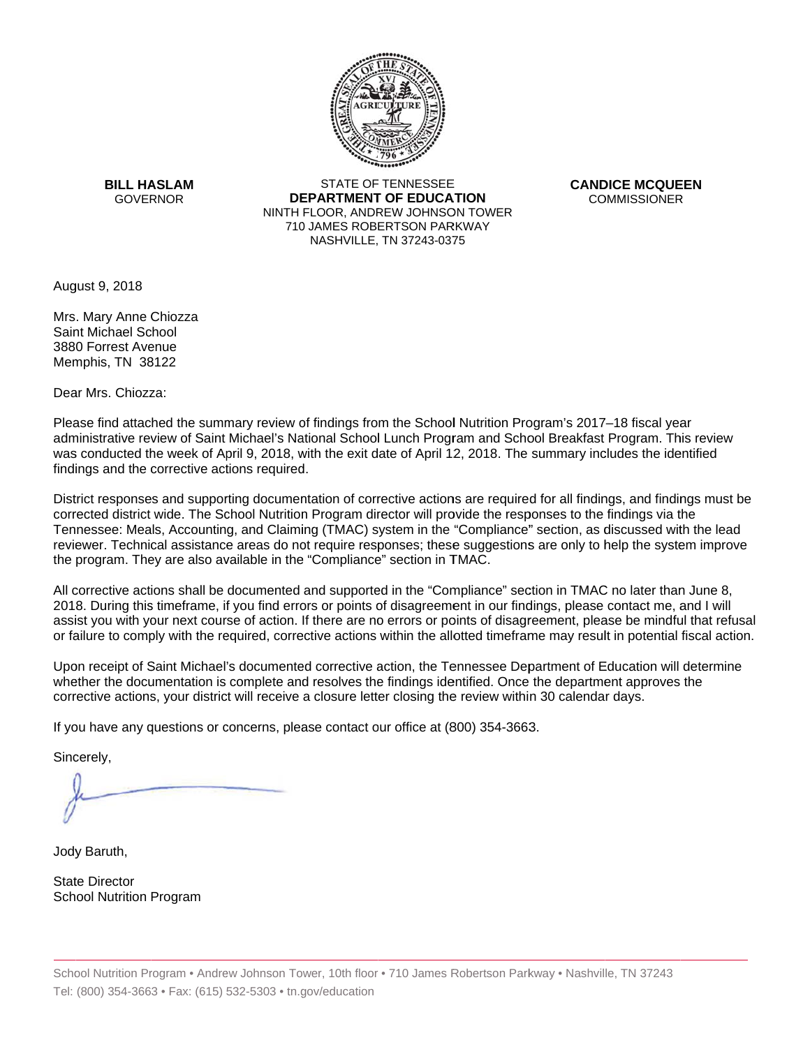

**BILL HASLAM** GOVERNOR **DEI** 

STATE OF TENNESSEE **EPARTMENT OF EDUCATION** NINTH FLOOR, ANDREW JOHNSON TOWER 710 JAMES ROBERTSON PARKWAY NASHVILLE,TN 37243-0375

**CANDICE MCQUEEN** CO OMMISSIONER

August 9, 2018

Mrs. Mary Anne Chiozza Saint Michael School 3880 Forrest Avenue Memphis, TN 38122

Dear Mrs. Chiozza:

Please find attached the summary review of findings from the School Nutrition Program's 2017–18 fiscal year administrative review of Saint Michael's National School Lunch Program and School Breakfast Program. This review was conducted the week of April 9, 2018, with the exit date of April 12, 2018. The summary includes the identified findings and the corrective actions required.

Tennessee: Meals, Accounting, and Claiming (TMAC) system in the "Compliance" section, as discussed with the lead District responses and supporting documentation of corrective actions are required for all findings, and findings must be corrected district wide. The School Nutrition Program director will provide the responses to the findings via the reviewer. Technical assistance areas do not require responses; these suggestions are only to help the system improve the program. They are also available in the "Compliance" section in TMAC.

All corrective actions shall be documented and supported in the "Compliance" section in TMAC no later than June 8, 2018. During this timeframe, if you find errors or points of disagreement in our findings, please contact me, and I will assist you with your next course of action. If there are no errors or points of disagreement, please be mindful that refusal or failure to comply with the required, corrective actions within the allotted timeframe may result in potential fiscal action.

Upon receipt of Saint Michael's documented corrective action, the Tennessee Department of Education will determine whether the documentation is complete and resolves the findings identified. Once the department approves the corrective actions, your district will receive a closure letter closing the review within 30 calendar days.

If you have any questions or concerns, please contact our office at (800) 354-3663.

Sincerely,

Jody Baruth,

State Director School Nutrition Program